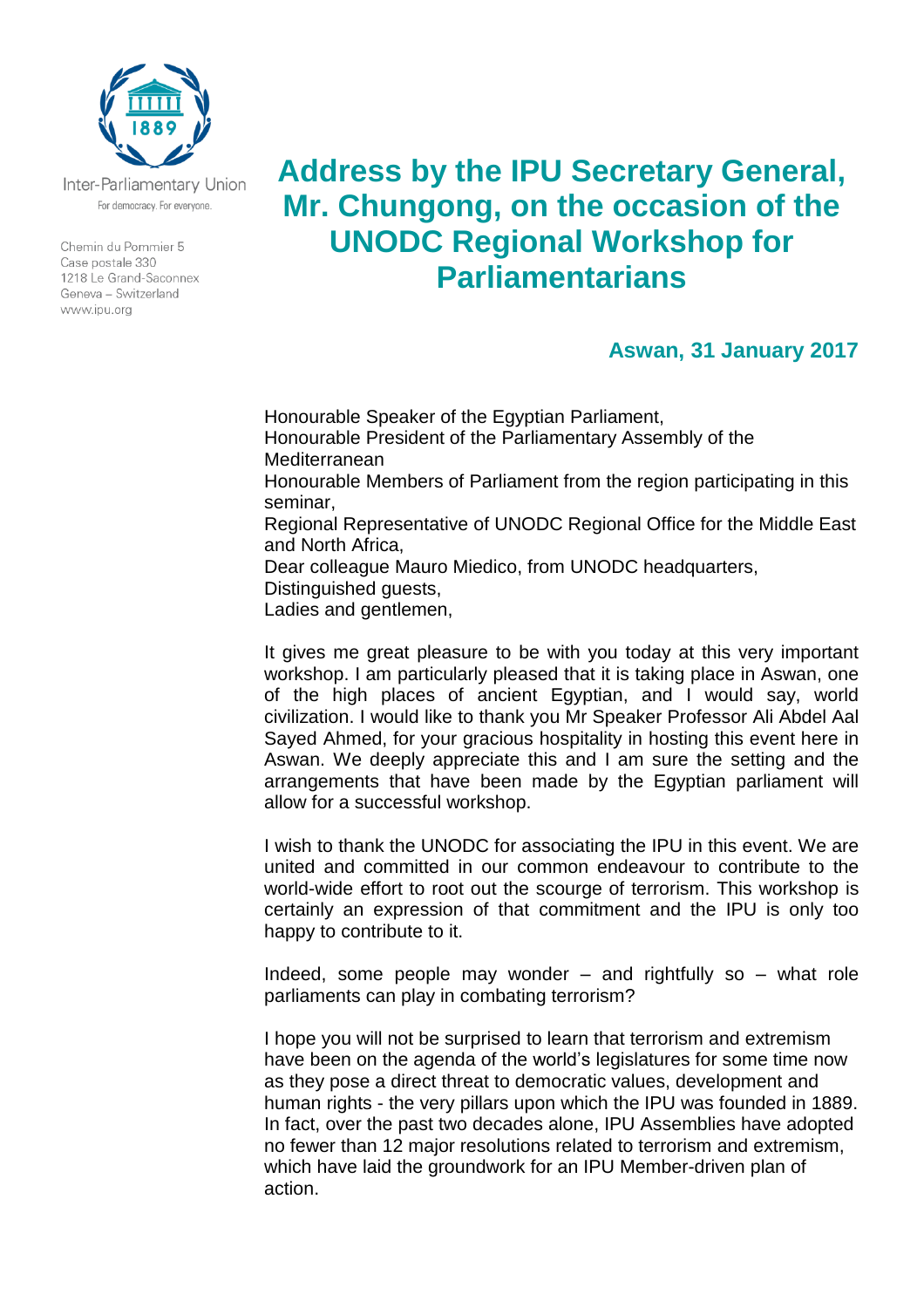

Inter-Parliamentary Union For democracy. For everyone.

Chemin du Pommier 5 Case postale 330 1218 Le Grand-Saconnex Geneva - Switzerland www.ipu.org

## **Address by the IPU Secretary General, Mr. Chungong, on the occasion of the UNODC Regional Workshop for Parliamentarians**

## **Aswan, 31 January 2017**

Honourable Speaker of the Egyptian Parliament, Honourable President of the Parliamentary Assembly of the Mediterranean Honourable Members of Parliament from the region participating in this seminar, Regional Representative of UNODC Regional Office for the Middle East and North Africa, Dear colleague Mauro Miedico, from UNODC headquarters, Distinguished guests, Ladies and gentlemen,

It gives me great pleasure to be with you today at this very important workshop. I am particularly pleased that it is taking place in Aswan, one of the high places of ancient Egyptian, and I would say, world civilization. I would like to thank you Mr Speaker Professor Ali Abdel Aal Sayed Ahmed, for your gracious hospitality in hosting this event here in Aswan. We deeply appreciate this and I am sure the setting and the arrangements that have been made by the Egyptian parliament will allow for a successful workshop.

I wish to thank the UNODC for associating the IPU in this event. We are united and committed in our common endeavour to contribute to the world-wide effort to root out the scourge of terrorism. This workshop is certainly an expression of that commitment and the IPU is only too happy to contribute to it.

Indeed, some people may wonder  $-$  and rightfully so  $-$  what role parliaments can play in combating terrorism?

I hope you will not be surprised to learn that terrorism and extremism have been on the agenda of the world's legislatures for some time now as they pose a direct threat to democratic values, development and human rights - the very pillars upon which the IPU was founded in 1889. In fact, over the past two decades alone, IPU Assemblies have adopted no fewer than 12 major resolutions related to terrorism and extremism, which have laid the groundwork for an IPU Member-driven plan of action.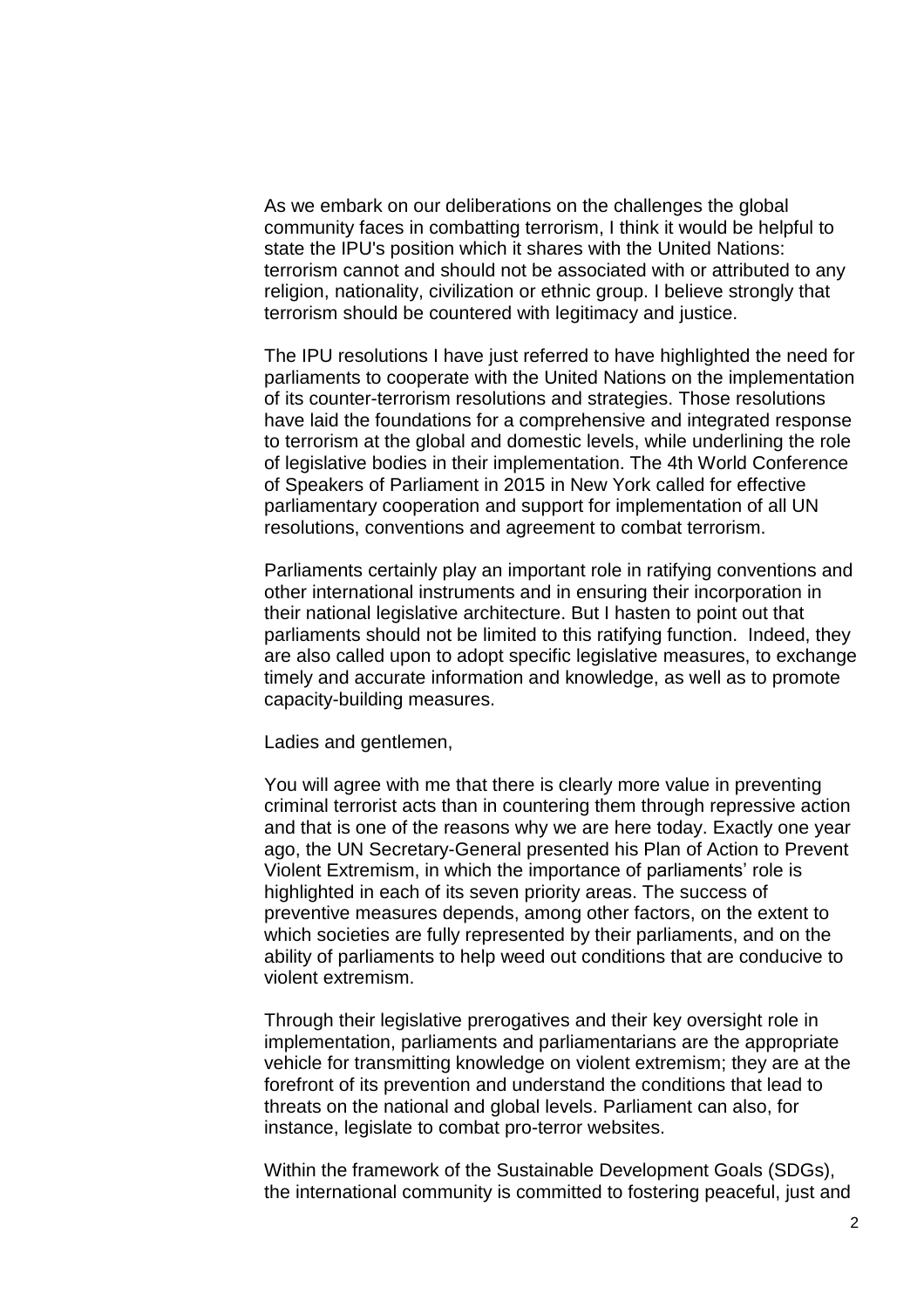As we embark on our deliberations on the challenges the global community faces in combatting terrorism, I think it would be helpful to state the IPU's position which it shares with the United Nations: terrorism cannot and should not be associated with or attributed to any religion, nationality, civilization or ethnic group. I believe strongly that terrorism should be countered with legitimacy and justice.

The IPU resolutions I have just referred to have highlighted the need for parliaments to cooperate with the United Nations on the implementation of its counter-terrorism resolutions and strategies. Those resolutions have laid the foundations for a comprehensive and integrated response to terrorism at the global and domestic levels, while underlining the role of legislative bodies in their implementation. The 4th World Conference of Speakers of Parliament in 2015 in New York called for effective parliamentary cooperation and support for implementation of all UN resolutions, conventions and agreement to combat terrorism.

Parliaments certainly play an important role in ratifying conventions and other international instruments and in ensuring their incorporation in their national legislative architecture. But I hasten to point out that parliaments should not be limited to this ratifying function. Indeed, they are also called upon to adopt specific legislative measures, to exchange timely and accurate information and knowledge, as well as to promote capacity-building measures.

Ladies and gentlemen,

You will agree with me that there is clearly more value in preventing criminal terrorist acts than in countering them through repressive action and that is one of the reasons why we are here today. Exactly one year ago, the UN Secretary-General presented his Plan of Action to Prevent Violent Extremism, in which the importance of parliaments' role is highlighted in each of its seven priority areas. The success of preventive measures depends, among other factors, on the extent to which societies are fully represented by their parliaments, and on the ability of parliaments to help weed out conditions that are conducive to violent extremism.

Through their legislative prerogatives and their key oversight role in implementation, parliaments and parliamentarians are the appropriate vehicle for transmitting knowledge on violent extremism; they are at the forefront of its prevention and understand the conditions that lead to threats on the national and global levels. Parliament can also, for instance, legislate to combat pro-terror websites.

Within the framework of the Sustainable Development Goals (SDGs), the international community is committed to fostering peaceful, just and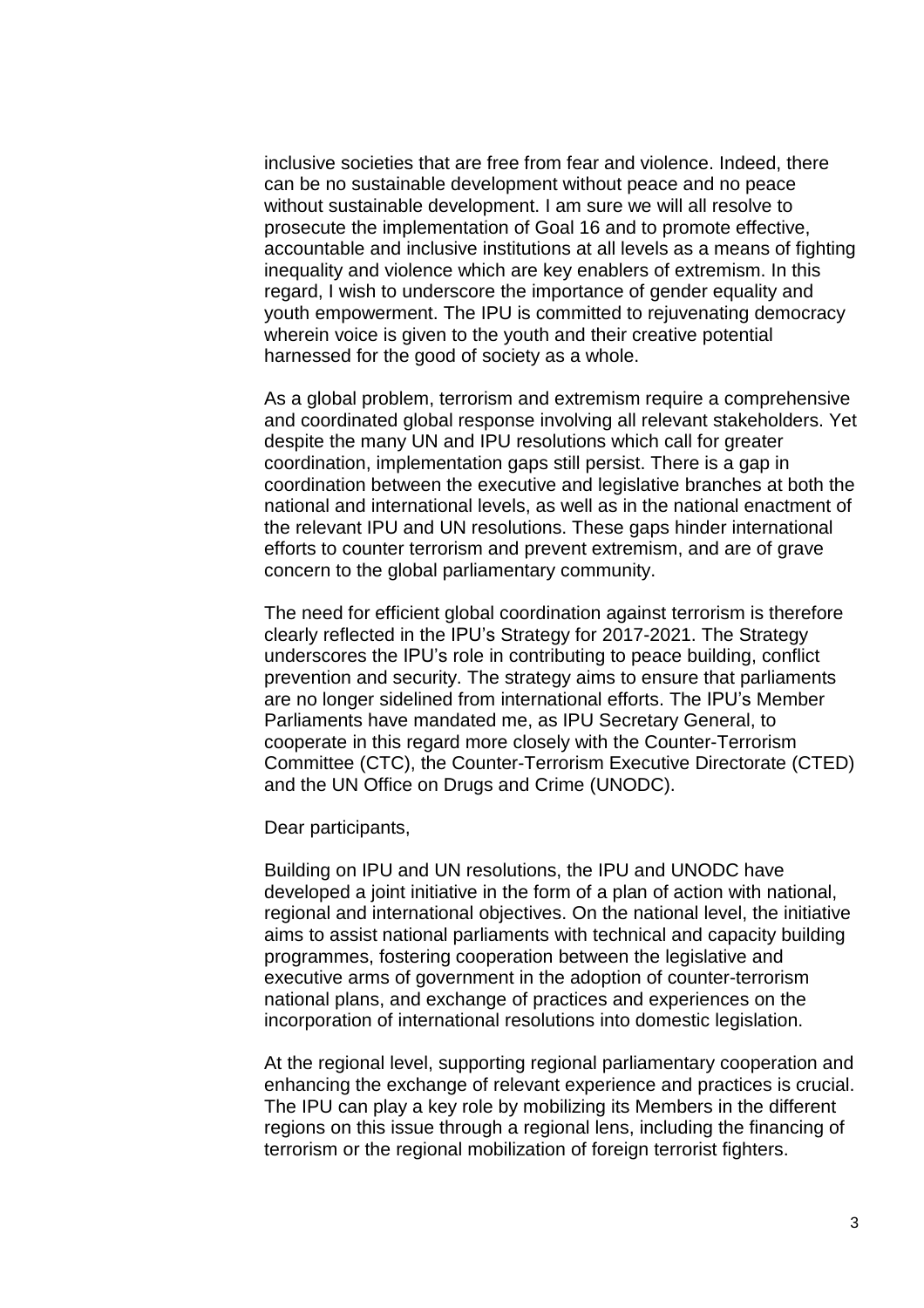inclusive societies that are free from fear and violence. Indeed, there can be no sustainable development without peace and no peace without sustainable development. I am sure we will all resolve to prosecute the implementation of Goal 16 and to promote effective, accountable and inclusive institutions at all levels as a means of fighting inequality and violence which are key enablers of extremism. In this regard, I wish to underscore the importance of gender equality and youth empowerment. The IPU is committed to rejuvenating democracy wherein voice is given to the youth and their creative potential harnessed for the good of society as a whole.

As a global problem, terrorism and extremism require a comprehensive and coordinated global response involving all relevant stakeholders. Yet despite the many UN and IPU resolutions which call for greater coordination, implementation gaps still persist. There is a gap in coordination between the executive and legislative branches at both the national and international levels, as well as in the national enactment of the relevant IPU and UN resolutions. These gaps hinder international efforts to counter terrorism and prevent extremism, and are of grave concern to the global parliamentary community.

The need for efficient global coordination against terrorism is therefore clearly reflected in the IPU's Strategy for 2017-2021. The Strategy underscores the IPU's role in contributing to peace building, conflict prevention and security. The strategy aims to ensure that parliaments are no longer sidelined from international efforts. The IPU's Member Parliaments have mandated me, as IPU Secretary General, to cooperate in this regard more closely with the Counter-Terrorism Committee (CTC), the Counter-Terrorism Executive Directorate (CTED) and the UN Office on Drugs and Crime (UNODC).

Dear participants,

Building on IPU and UN resolutions, the IPU and UNODC have developed a joint initiative in the form of a plan of action with national, regional and international objectives. On the national level, the initiative aims to assist national parliaments with technical and capacity building programmes, fostering cooperation between the legislative and executive arms of government in the adoption of counter-terrorism national plans, and exchange of practices and experiences on the incorporation of international resolutions into domestic legislation.

At the regional level, supporting regional parliamentary cooperation and enhancing the exchange of relevant experience and practices is crucial. The IPU can play a key role by mobilizing its Members in the different regions on this issue through a regional lens, including the financing of terrorism or the regional mobilization of foreign terrorist fighters.